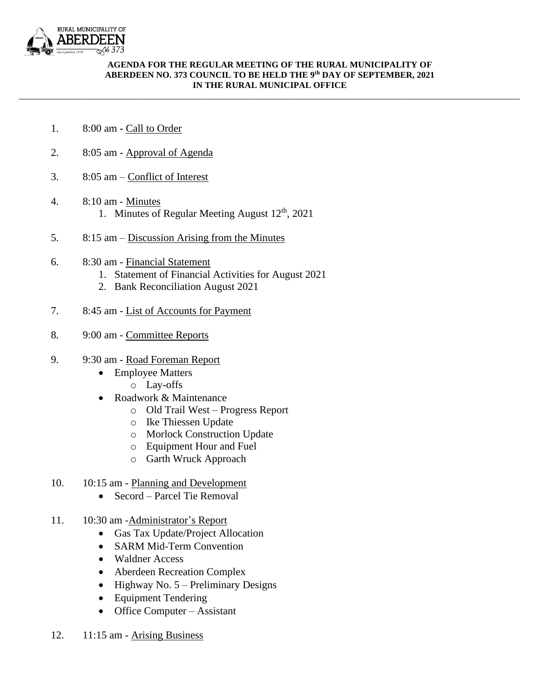

## **AGENDA FOR THE REGULAR MEETING OF THE RURAL MUNICIPALITY OF ABERDEEN NO. 373 COUNCIL TO BE HELD THE 9 th DAY OF SEPTEMBER, 2021 IN THE RURAL MUNICIPAL OFFICE**

\_\_\_\_\_\_\_\_\_\_\_\_\_\_\_\_\_\_\_\_\_\_\_\_\_\_\_\_\_\_\_\_\_\_\_\_\_\_\_\_\_\_\_\_\_\_\_\_\_\_\_\_\_\_\_\_\_\_\_\_\_\_\_\_\_\_\_\_\_\_\_\_\_\_\_\_\_\_\_\_\_\_\_\_\_\_\_\_\_\_\_\_\_\_\_\_\_\_\_\_\_\_\_\_\_\_\_\_

- 1. 8:00 am Call to Order
- 2. 8:05 am Approval of Agenda
- 3. 8:05 am Conflict of Interest
- 4. 8:10 am Minutes 1. Minutes of Regular Meeting August 12<sup>th</sup>, 2021
- 5. 8:15 am Discussion Arising from the Minutes
- 6. 8:30 am Financial Statement
	- 1. Statement of Financial Activities for August 2021
	- 2. Bank Reconciliation August 2021
- 7. 8:45 am List of Accounts for Payment
- 8. 9:00 am Committee Reports
- 9. 9:30 am Road Foreman Report
	- Employee Matters
		- o Lay-offs
	- Roadwork & Maintenance
		- o Old Trail West Progress Report
		- o Ike Thiessen Update
		- o Morlock Construction Update
		- o Equipment Hour and Fuel
		- o Garth Wruck Approach
- 10. 10:15 am Planning and Development
	- Secord Parcel Tie Removal
- 11. 10:30 am -Administrator's Report
	- Gas Tax Update/Project Allocation
	- SARM Mid-Term Convention
	- Waldner Access
	- Aberdeen Recreation Complex
	- Highway No.  $5$  Preliminary Designs
	- Equipment Tendering
	- Office Computer Assistant
- 12. 11:15 am Arising Business